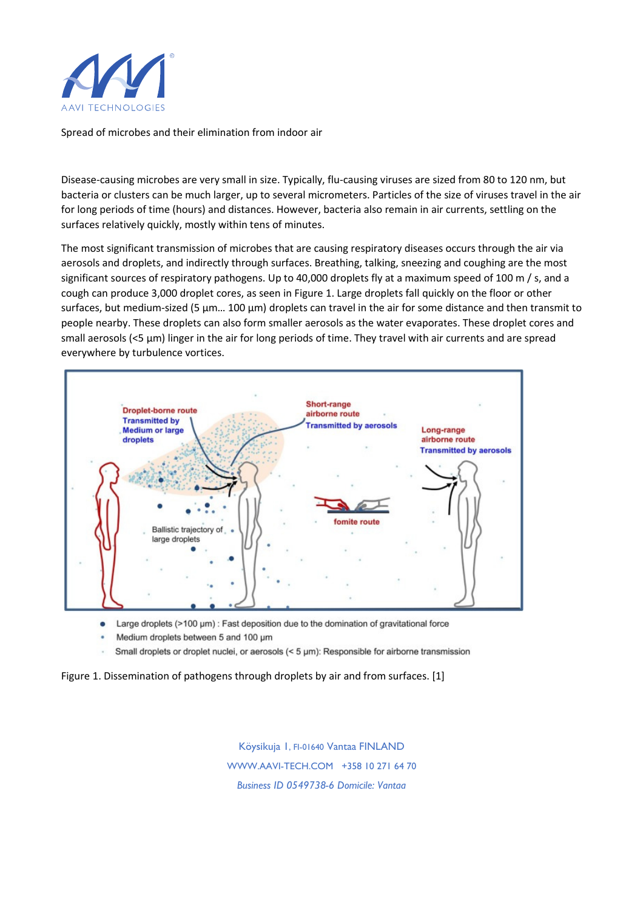

Spread of microbes and their elimination from indoor air

Disease-causing microbes are very small in size. Typically, flu-causing viruses are sized from 80 to 120 nm, but bacteria or clusters can be much larger, up to several micrometers. Particles of the size of viruses travel in the air for long periods of time (hours) and distances. However, bacteria also remain in air currents, settling on the surfaces relatively quickly, mostly within tens of minutes.

The most significant transmission of microbes that are causing respiratory diseases occurs through the air via aerosols and droplets, and indirectly through surfaces. Breathing, talking, sneezing and coughing are the most significant sources of respiratory pathogens. Up to 40,000 droplets fly at a maximum speed of 100 m / s, and a cough can produce 3,000 droplet cores, as seen in Figure 1. Large droplets fall quickly on the floor or other surfaces, but medium-sized (5 µm... 100 µm) droplets can travel in the air for some distance and then transmit to people nearby. These droplets can also form smaller aerosols as the water evaporates. These droplet cores and small aerosols (<5 µm) linger in the air for long periods of time. They travel with air currents and are spread everywhere by turbulence vortices.



Large droplets (>100 µm) : Fast deposition due to the domination of gravitational force  $\bullet$ 

- Medium droplets between 5 and 100 um
- Small droplets or droplet nuclei, or aerosols (< 5 µm): Responsible for airborne transmission

Figure 1. Dissemination of pathogens through droplets by air and from surfaces. [1]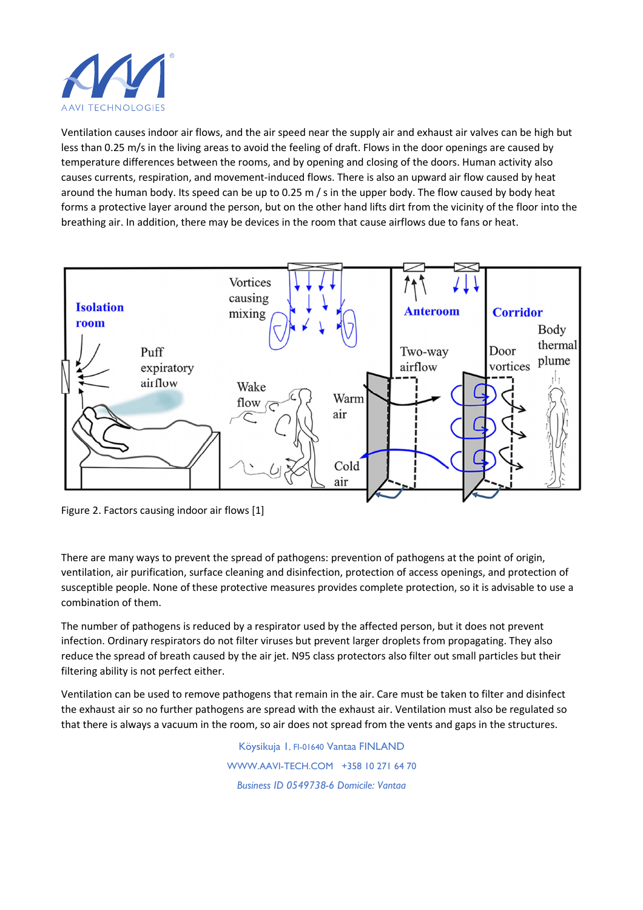

Ventilation causes indoor air flows, and the air speed near the supply air and exhaust air valves can be high but less than 0.25 m/s in the living areas to avoid the feeling of draft. Flows in the door openings are caused by temperature differences between the rooms, and by opening and closing of the doors. Human activity also causes currents, respiration, and movement-induced flows. There is also an upward air flow caused by heat around the human body. Its speed can be up to 0.25 m / s in the upper body. The flow caused by body heat forms a protective layer around the person, but on the other hand lifts dirt from the vicinity of the floor into the breathing air. In addition, there may be devices in the room that cause airflows due to fans or heat.



Figure 2. Factors causing indoor air flows [1]

There are many ways to prevent the spread of pathogens: prevention of pathogens at the point of origin, ventilation, air purification, surface cleaning and disinfection, protection of access openings, and protection of susceptible people. None of these protective measures provides complete protection, so it is advisable to use a combination of them.

The number of pathogens is reduced by a respirator used by the affected person, but it does not prevent infection. Ordinary respirators do not filter viruses but prevent larger droplets from propagating. They also reduce the spread of breath caused by the air jet. N95 class protectors also filter out small particles but their filtering ability is not perfect either.

Ventilation can be used to remove pathogens that remain in the air. Care must be taken to filter and disinfect the exhaust air so no further pathogens are spread with the exhaust air. Ventilation must also be regulated so that there is always a vacuum in the room, so air does not spread from the vents and gaps in the structures.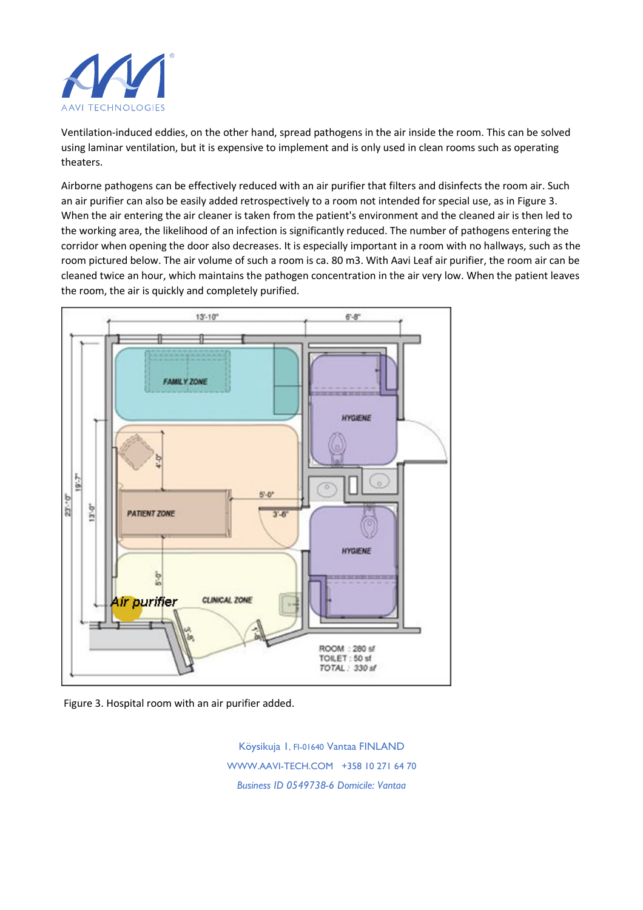

Ventilation-induced eddies, on the other hand, spread pathogens in the air inside the room. This can be solved using laminar ventilation, but it is expensive to implement and is only used in clean rooms such as operating theaters.

Airborne pathogens can be effectively reduced with an air purifier that filters and disinfects the room air. Such an air purifier can also be easily added retrospectively to a room not intended for special use, as in Figure 3. When the air entering the air cleaner is taken from the patient's environment and the cleaned air is then led to the working area, the likelihood of an infection is significantly reduced. The number of pathogens entering the corridor when opening the door also decreases. It is especially important in a room with no hallways, such as the room pictured below. The air volume of such a room is ca. 80 m3. With Aavi Leaf air purifier, the room air can be cleaned twice an hour, which maintains the pathogen concentration in the air very low. When the patient leaves the room, the air is quickly and completely purified.



Figure 3. Hospital room with an air purifier added.